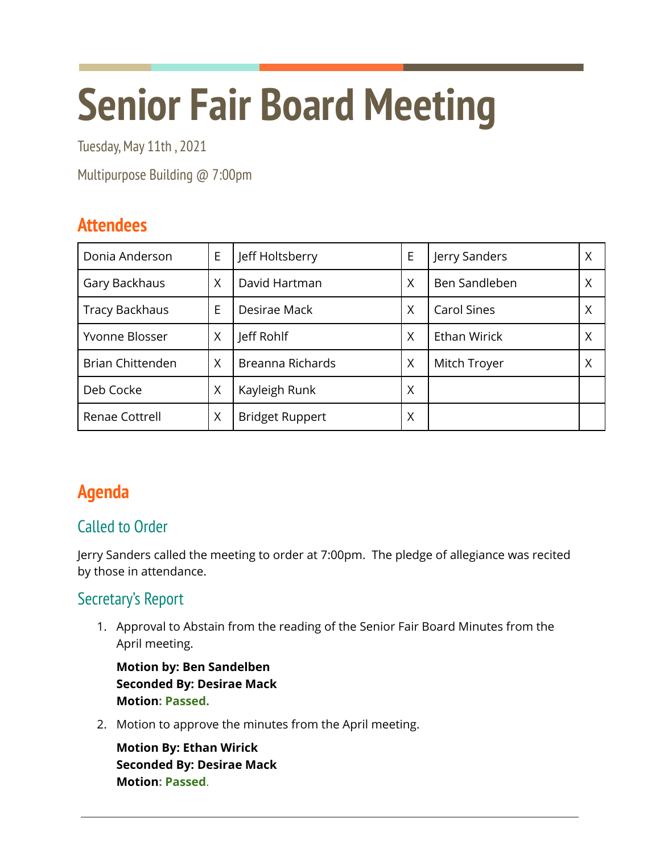# **Senior Fair Board Meeting**

Tuesday, May 11th, 2021

Multipurpose Building @ 7:00pm

# **Attendees**

| Donia Anderson          | E | Jeff Holtsberry        | E | Jerry Sanders | Χ |
|-------------------------|---|------------------------|---|---------------|---|
| Gary Backhaus           | X | David Hartman          | X | Ben Sandleben | Χ |
| <b>Tracy Backhaus</b>   | E | Desirae Mack           | X | Carol Sines   | Χ |
| Yvonne Blosser          | X | Jeff Rohlf             | X | Ethan Wirick  | X |
| <b>Brian Chittenden</b> | X | Breanna Richards       | X | Mitch Troyer  | Χ |
| Deb Cocke               | Χ | Kayleigh Runk          | X |               |   |
| Renae Cottrell          | X | <b>Bridget Ruppert</b> | Χ |               |   |

# **Agenda**

#### Called to Order

Jerry Sanders called the meeting to order at 7:00pm. The pledge of allegiance was recited by those in attendance.

### Secretary's Report

1. Approval to Abstain from the reading of the Senior Fair Board Minutes from the April meeting.

**Motion by: Ben Sandelben Seconded By: Desirae Mack Motion: Passed.**

2. Motion to approve the minutes from the April meeting.

**Motion By: Ethan Wirick Seconded By: Desirae Mack Motion: Passed**.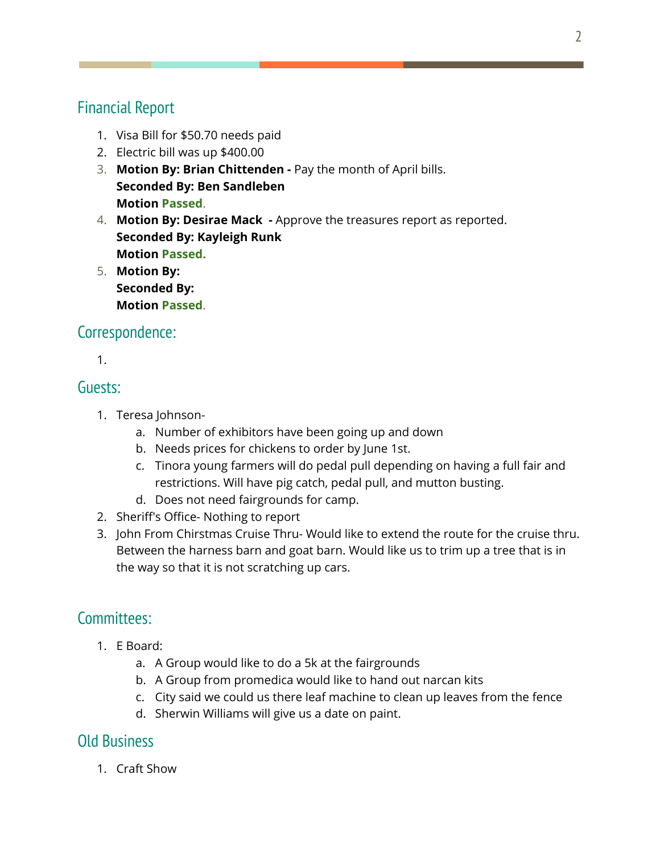#### Financial Report

- 1. Visa Bill for \$50.70 needs paid
- 2. Electric bill was up \$400.00
- 3. **Motion By: Brian Chittenden -** Pay the month of April bills. **Seconded By: Ben Sandleben Motion Passed**.
- 4. **Motion By: Desirae Mack -** Approve the treasures report as reported. **Seconded By: Kayleigh Runk Motion Passed.**
- 5. **Motion By: Seconded By: Motion Passed**.

#### Correspondence:

1.

#### Guests:

- 1. Teresa Johnson
	- a. Number of exhibitors have been going up and down
	- b. Needs prices for chickens to order by June 1st.
	- c. Tinora young farmers will do pedal pull depending on having a full fair and restrictions. Will have pig catch, pedal pull, and mutton busting.
	- d. Does not need fairgrounds for camp.
- 2. Sheriff's Office- Nothing to report
- 3. John From Chirstmas Cruise Thru- Would like to extend the route for the cruise thru. Between the harness barn and goat barn. Would like us to trim up a tree that is in the way so that it is not scratching up cars.

#### Committees:

- 1. E Board:
	- a. A Group would like to do a 5k at the fairgrounds
	- b. A Group from promedica would like to hand out narcan kits
	- c. City said we could us there leaf machine to clean up leaves from the fence
	- d. Sherwin Williams will give us a date on paint.

#### Old Business

1. Craft Show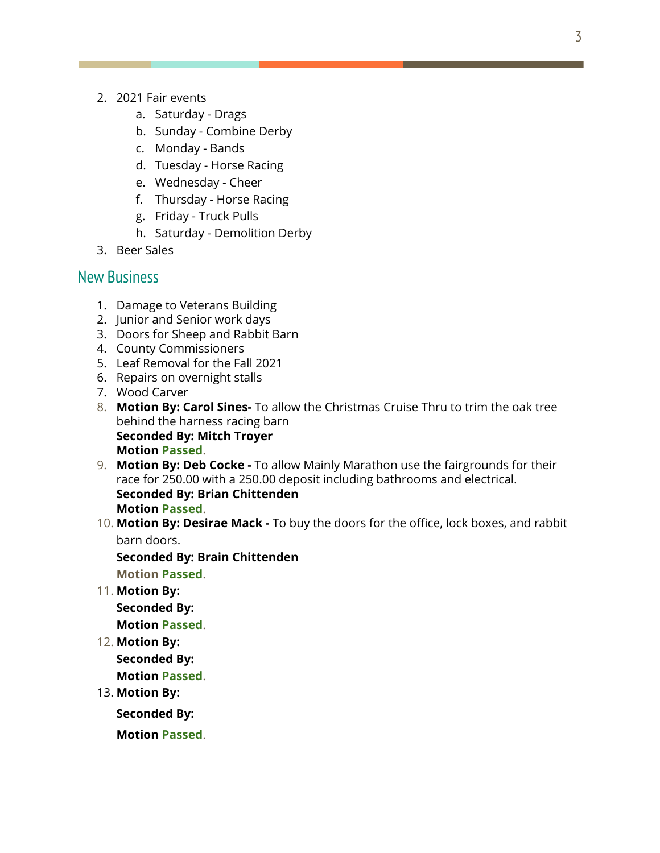- 2. 2021 Fair events
	- a. Saturday Drags
	- b. Sunday Combine Derby
	- c. Monday Bands
	- d. Tuesday Horse Racing
	- e. Wednesday Cheer
	- f. Thursday Horse Racing
	- g. Friday Truck Pulls
	- h. Saturday Demolition Derby
- 3. Beer Sales

#### New Business

- 1. Damage to Veterans Building
- 2. Junior and Senior work days
- 3. Doors for Sheep and Rabbit Barn
- 4. County Commissioners
- 5. Leaf Removal for the Fall 2021
- 6. Repairs on overnight stalls
- 7. Wood Carver
- 8. **Motion By: Carol Sines-** To allow the Christmas Cruise Thru to trim the oak tree behind the harness racing barn **Seconded By: Mitch Troyer Motion Passed**.
- 9. **Motion By: Deb Cocke -** To allow Mainly Marathon use the fairgrounds for their race for 250.00 with a 250.00 deposit including bathrooms and electrical. **Seconded By: Brian Chittenden Motion Passed**.
- 10. **Motion By: Desirae Mack -** To buy the doors for the office, lock boxes, and rabbit barn doors.

**Seconded By: Brain Chittenden Motion Passed**.

11. **Motion By:**

**Seconded By: Motion Passed**.

12. **Motion By:**

**Seconded By:**

**Motion Passed**.

13. **Motion By:**

**Seconded By:**

**Motion Passed**.